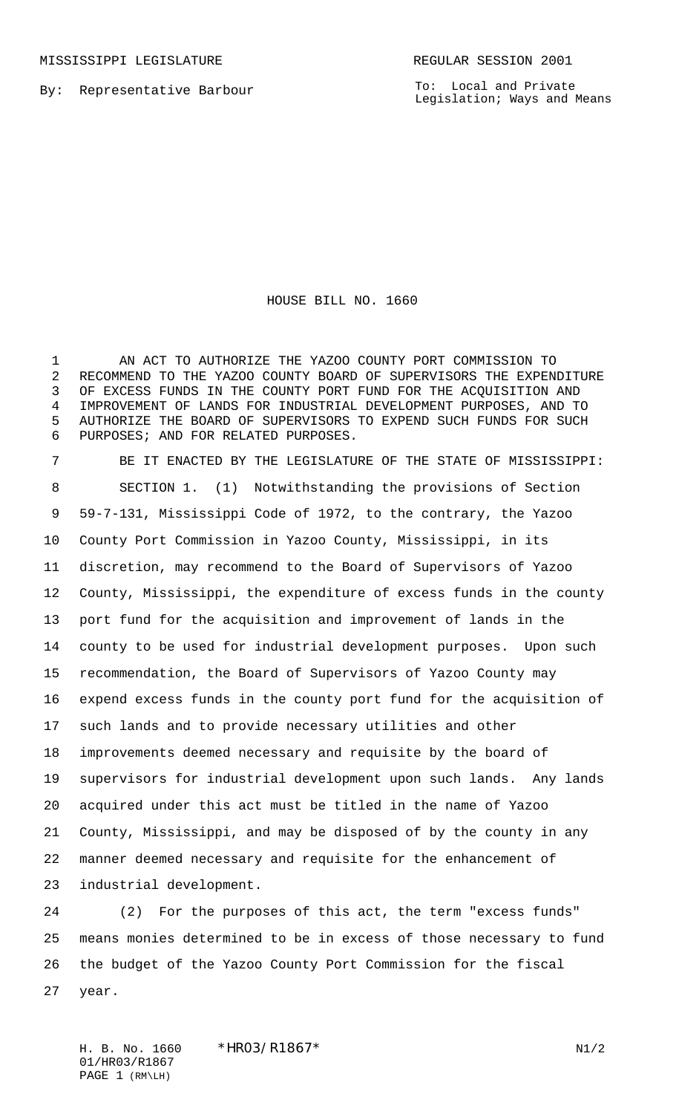MISSISSIPPI LEGISLATURE **REGULAR SESSION 2001** 

By: Representative Barbour

To: Local and Private Legislation; Ways and Means

## HOUSE BILL NO. 1660

 AN ACT TO AUTHORIZE THE YAZOO COUNTY PORT COMMISSION TO RECOMMEND TO THE YAZOO COUNTY BOARD OF SUPERVISORS THE EXPENDITURE OF EXCESS FUNDS IN THE COUNTY PORT FUND FOR THE ACQUISITION AND IMPROVEMENT OF LANDS FOR INDUSTRIAL DEVELOPMENT PURPOSES, AND TO AUTHORIZE THE BOARD OF SUPERVISORS TO EXPEND SUCH FUNDS FOR SUCH PURPOSES; AND FOR RELATED PURPOSES.

 BE IT ENACTED BY THE LEGISLATURE OF THE STATE OF MISSISSIPPI: SECTION 1. (1) Notwithstanding the provisions of Section 59-7-131, Mississippi Code of 1972, to the contrary, the Yazoo County Port Commission in Yazoo County, Mississippi, in its discretion, may recommend to the Board of Supervisors of Yazoo County, Mississippi, the expenditure of excess funds in the county port fund for the acquisition and improvement of lands in the county to be used for industrial development purposes. Upon such recommendation, the Board of Supervisors of Yazoo County may expend excess funds in the county port fund for the acquisition of such lands and to provide necessary utilities and other improvements deemed necessary and requisite by the board of supervisors for industrial development upon such lands. Any lands acquired under this act must be titled in the name of Yazoo County, Mississippi, and may be disposed of by the county in any manner deemed necessary and requisite for the enhancement of industrial development.

 (2) For the purposes of this act, the term "excess funds" means monies determined to be in excess of those necessary to fund the budget of the Yazoo County Port Commission for the fiscal year.

H. B. No. 1660 \*HRO3/R1867\* N1/2 01/HR03/R1867 PAGE 1 (RM\LH)